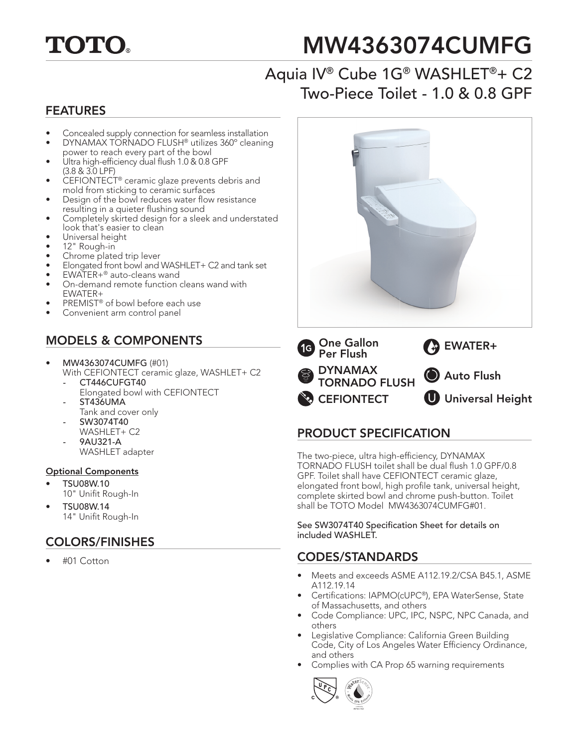

# MW4363074CUMFG

### Aquia IV® Cube 1G® WASHLET®+ C2 Two-Piece Toilet - 1.0 & 0.8 GPF

#### FEATURES

- Concealed supply connection for seamless installation
- DYNAMAX TORNADO FLUSH® utilizes 360º cleaning power to reach every part of the bowl
- Ultra high-efficiency dual flush 1.0 & 0.8 GPF (3.8 & 3.0 LPF)
- CEFIONTECT® ceramic glaze prevents debris and mold from sticking to ceramic surfaces
- Design of the bowl reduces water flow resistance resulting in a quieter flushing sound
- Completely skirted design for a sleek and understated look that's easier to clean
- Universal height
- 12" Rough-in
- Chrome plated trip lever
- Elongated front bowl and WASHLET+ C2 and tank set
- EWATER+® auto-cleans wand
- On-demand remote function cleans wand with EWATER+
- PREMIST® of bowl before each use
- Convenient arm control panel

#### MODELS & COMPONENTS

- MW4363074CUMFG (#01)
	- With CEFIONTECT ceramic glaze, WASHLET+ C2 *-* CT446CUFGT40
		- Elongated bowl with CEFIONTECT *-* ST436UMA
	- Tank and cover only *-* SW3074T40
	- WASHLET+ C2 *-* 9AU321-A
	- WASHLET adapter

#### Optional Components

- TSU08W.10 10" Unifit Rough-In
- TSU08W.14 14" Unifit Rough-In

#### COLORS/FINISHES

• #01 Cotton



**CEFIONTECT U** Universal Height

#### PRODUCT SPECIFICATION

The two-piece, ultra high-efficiency, DYNAMAX TORNADO FLUSH toilet shall be dual flush 1.0 GPF/0.8 GPF. Toilet shall have CEFIONTECT ceramic glaze, elongated front bowl, high profile tank, universal height, complete skirted bowl and chrome push-button. Toilet shall be TOTO Model MW4363074CUMFG#01.

See SW3074T40 Specification Sheet for details on included WASHLET.

#### CODES/STANDARDS

- Meets and exceeds ASME A112.19.2/CSA B45.1, ASME A112.19.14
- Certifications: IAPMO(cUPC®), EPA WaterSense, State of Massachusetts, and others
- Code Compliance: UPC, IPC, NSPC, NPC Canada, and others
- Legislative Compliance: California Green Building Code, City of Los Angeles Water Efficiency Ordinance, and others
- Complies with CA Prop 65 warning requirements